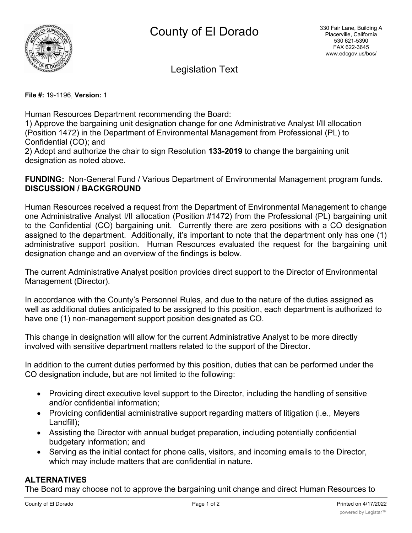

Legislation Text

**File #:** 19-1196, **Version:** 1

Human Resources Department recommending the Board:

1) Approve the bargaining unit designation change for one Administrative Analyst I/II allocation (Position 1472) in the Department of Environmental Management from Professional (PL) to Confidential (CO); and

2) Adopt and authorize the chair to sign Resolution **133-2019** to change the bargaining unit designation as noted above.

**FUNDING:** Non-General Fund / Various Department of Environmental Management program funds. **DISCUSSION / BACKGROUND**

Human Resources received a request from the Department of Environmental Management to change one Administrative Analyst I/II allocation (Position #1472) from the Professional (PL) bargaining unit to the Confidential (CO) bargaining unit. Currently there are zero positions with a CO designation assigned to the department. Additionally, it's important to note that the department only has one (1) administrative support position. Human Resources evaluated the request for the bargaining unit designation change and an overview of the findings is below.

The current Administrative Analyst position provides direct support to the Director of Environmental Management (Director).

In accordance with the County's Personnel Rules, and due to the nature of the duties assigned as well as additional duties anticipated to be assigned to this position, each department is authorized to have one (1) non-management support position designated as CO.

This change in designation will allow for the current Administrative Analyst to be more directly involved with sensitive department matters related to the support of the Director.

In addition to the current duties performed by this position, duties that can be performed under the CO designation include, but are not limited to the following:

- · Providing direct executive level support to the Director, including the handling of sensitive and/or confidential information;
- · Providing confidential administrative support regarding matters of litigation (i.e., Meyers Landfill);
- · Assisting the Director with annual budget preparation, including potentially confidential budgetary information; and
- · Serving as the initial contact for phone calls, visitors, and incoming emails to the Director, which may include matters that are confidential in nature.

# **ALTERNATIVES**

The Board may choose not to approve the bargaining unit change and direct Human Resources to